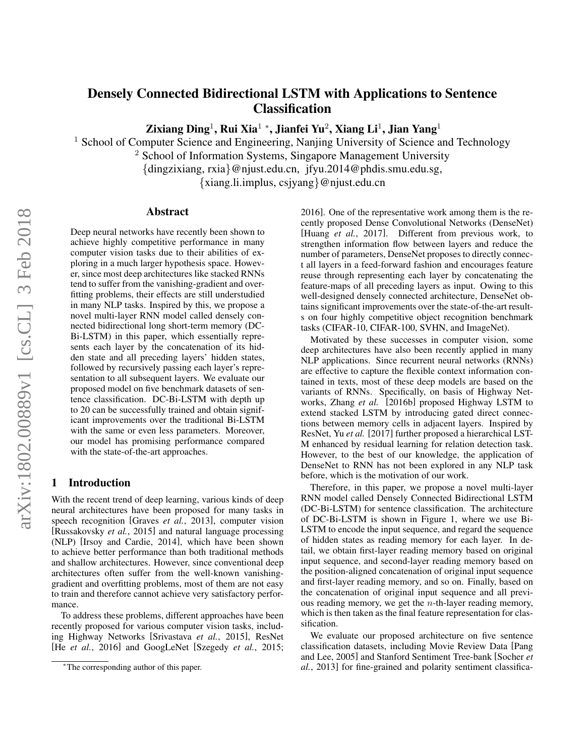# Densely Connected Bidirectional LSTM with Applications to Sentence **Classification**

Zixiang Ding $^1$ , Rui Xia $^1$  \*, Jianfei Yu $^2$ , Xiang Li $^1$ , Jian Yang $^1$ 

<sup>1</sup> School of Computer Science and Engineering, Nanjing University of Science and Technology

<sup>2</sup> School of Information Systems, Singapore Management University

{dingzixiang, rxia}@njust.edu.cn, jfyu.2014@phdis.smu.edu.sg,

{xiang.li.implus, csjyang}@njust.edu.cn

#### Abstract

Deep neural networks have recently been shown to achieve highly competitive performance in many computer vision tasks due to their abilities of exploring in a much larger hypothesis space. However, since most deep architectures like stacked RNNs tend to suffer from the vanishing-gradient and overfitting problems, their effects are still understudied in many NLP tasks. Inspired by this, we propose a novel multi-layer RNN model called densely connected bidirectional long short-term memory (DC-Bi-LSTM) in this paper, which essentially represents each layer by the concatenation of its hidden state and all preceding layers' hidden states, followed by recursively passing each layer's representation to all subsequent layers. We evaluate our proposed model on five benchmark datasets of sentence classification. DC-Bi-LSTM with depth up to 20 can be successfully trained and obtain significant improvements over the traditional Bi-LSTM with the same or even less parameters. Moreover, our model has promising performance compared with the state-of-the-art approaches.

# 1 Introduction

With the recent trend of deep learning, various kinds of deep neural architectures have been proposed for many tasks in speech recognition [Graves *et al.*, 2013], computer vision [Russakovsky *et al.*, 2015] and natural language processing (NLP) [Irsoy and Cardie, 2014], which have been shown to achieve better performance than both traditional methods and shallow architectures. However, since conventional deep architectures often suffer from the well-known vanishinggradient and overfitting problems, most of them are not easy to train and therefore cannot achieve very satisfactory performance.

To address these problems, different approaches have been recently proposed for various computer vision tasks, including Highway Networks [Srivastava *et al.*, 2015], ResNet [He *et al.*, 2016] and GoogLeNet [Szegedy *et al.*, 2015; 2016]. One of the representative work among them is the recently proposed Dense Convolutional Networks (DenseNet) [Huang *et al.*, 2017]. Different from previous work, to strengthen information flow between layers and reduce the number of parameters, DenseNet proposes to directly connect all layers in a feed-forward fashion and encourages feature reuse through representing each layer by concatenating the feature-maps of all preceding layers as input. Owing to this well-designed densely connected architecture, DenseNet obtains significant improvements over the state-of-the-art results on four highly competitive object recognition benchmark tasks (CIFAR-10, CIFAR-100, SVHN, and ImageNet).

Motivated by these successes in computer vision, some deep architectures have also been recently applied in many NLP applications. Since recurrent neural networks (RNNs) are effective to capture the flexible context information contained in texts, most of these deep models are based on the variants of RNNs. Specifically, on basis of Highway Networks, Zhang *et al.* [2016b] proposed Highway LSTM to extend stacked LSTM by introducing gated direct connections between memory cells in adjacent layers. Inspired by ResNet, Yu *et al.* [2017] further proposed a hierarchical LST-M enhanced by residual learning for relation detection task. However, to the best of our knowledge, the application of DenseNet to RNN has not been explored in any NLP task before, which is the motivation of our work.

Therefore, in this paper, we propose a novel multi-layer RNN model called Densely Connected Bidirectional LSTM (DC-Bi-LSTM) for sentence classification. The architecture of DC-Bi-LSTM is shown in Figure 1, where we use Bi-LSTM to encode the input sequence, and regard the sequence of hidden states as reading memory for each layer. In detail, we obtain first-layer reading memory based on original input sequence, and second-layer reading memory based on the position-aligned concatenation of original input sequence and first-layer reading memory, and so on. Finally, based on the concatenation of original input sequence and all previous reading memory, we get the  $n$ -th-layer reading memory, which is then taken as the final feature representation for classification.

We evaluate our proposed architecture on five sentence classification datasets, including Movie Review Data [Pang and Lee, 2005] and Stanford Sentiment Tree-bank [Socher *et al.*, 2013] for fine-grained and polarity sentiment classifica-

<sup>∗</sup>The corresponding author of this paper.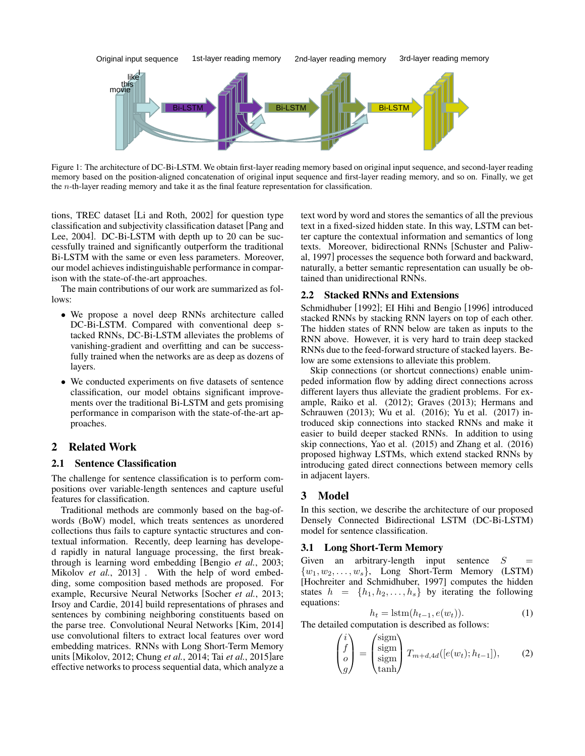

Figure 1: The architecture of DC-Bi-LSTM. We obtain first-layer reading memory based on original input sequence, and second-layer reading memory based on the position-aligned concatenation of original input sequence and first-layer reading memory, and so on. Finally, we get the n-th-layer reading memory and take it as the final feature representation for classification.

tions, TREC dataset [Li and Roth, 2002] for question type classification and subjectivity classification dataset [Pang and Lee, 2004]. DC-Bi-LSTM with depth up to 20 can be successfully trained and significantly outperform the traditional Bi-LSTM with the same or even less parameters. Moreover, our model achieves indistinguishable performance in comparison with the state-of-the-art approaches.

The main contributions of our work are summarized as follows:

- We propose a novel deep RNNs architecture called DC-Bi-LSTM. Compared with conventional deep stacked RNNs, DC-Bi-LSTM alleviates the problems of vanishing-gradient and overfitting and can be successfully trained when the networks are as deep as dozens of layers.
- We conducted experiments on five datasets of sentence classification, our model obtains significant improvements over the traditional Bi-LSTM and gets promising performance in comparison with the state-of-the-art approaches.

# 2 Related Work

## 2.1 Sentence Classification

The challenge for sentence classification is to perform compositions over variable-length sentences and capture useful features for classification.

Traditional methods are commonly based on the bag-ofwords (BoW) model, which treats sentences as unordered collections thus fails to capture syntactic structures and contextual information. Recently, deep learning has developed rapidly in natural language processing, the first breakthrough is learning word embedding [Bengio *et al.*, 2003; Mikolov *et al.*, 2013] . With the help of word embedding, some composition based methods are proposed. For example, Recursive Neural Networks [Socher *et al.*, 2013; Irsoy and Cardie, 2014] build representations of phrases and sentences by combining neighboring constituents based on the parse tree. Convolutional Neural Networks [Kim, 2014] use convolutional filters to extract local features over word embedding matrices. RNNs with Long Short-Term Memory units [Mikolov, 2012; Chung *et al.*, 2014; Tai *et al.*, 2015]are effective networks to process sequential data, which analyze a text word by word and stores the semantics of all the previous text in a fixed-sized hidden state. In this way, LSTM can better capture the contextual information and semantics of long texts. Moreover, bidirectional RNNs [Schuster and Paliwal, 1997] processes the sequence both forward and backward, naturally, a better semantic representation can usually be obtained than unidirectional RNNs.

#### 2.2 Stacked RNNs and Extensions

Schmidhuber [1992]; EI Hihi and Bengio [1996] introduced stacked RNNs by stacking RNN layers on top of each other. The hidden states of RNN below are taken as inputs to the RNN above. However, it is very hard to train deep stacked RNNs due to the feed-forward structure of stacked layers. Below are some extensions to alleviate this problem.

Skip connections (or shortcut connections) enable unimpeded information flow by adding direct connections across different layers thus alleviate the gradient problems. For example, Raiko et al. (2012); Graves (2013); Hermans and Schrauwen (2013); Wu et al. (2016); Yu et al. (2017) introduced skip connections into stacked RNNs and make it easier to build deeper stacked RNNs. In addition to using skip connections, Yao et al. (2015) and Zhang et al. (2016) proposed highway LSTMs, which extend stacked RNNs by introducing gated direct connections between memory cells in adjacent layers.

# 3 Model

In this section, we describe the architecture of our proposed Densely Connected Bidirectional LSTM (DC-Bi-LSTM) model for sentence classification.

#### 3.1 Long Short-Term Memory

Given an arbitrary-length input sentence  $S$  $\{w_1, w_2, \ldots, w_s\}$ , Long Short-Term Memory (LSTM) [Hochreiter and Schmidhuber, 1997] computes the hidden states  $h = \{h_1, h_2, \ldots, h_s\}$  by iterating the following equations:

$$
h_t = \text{lstm}(h_{t-1}, e(w_t)).\tag{1}
$$

The detailed computation is described as follows:

$$
\begin{pmatrix} i \\ f \\ o \\ g \end{pmatrix} = \begin{pmatrix} \text{sigm} \\ \text{sigm} \\ \text{sign} \end{pmatrix} T_{m+d,4d}([e(w_t); h_{t-1}]), \qquad (2)
$$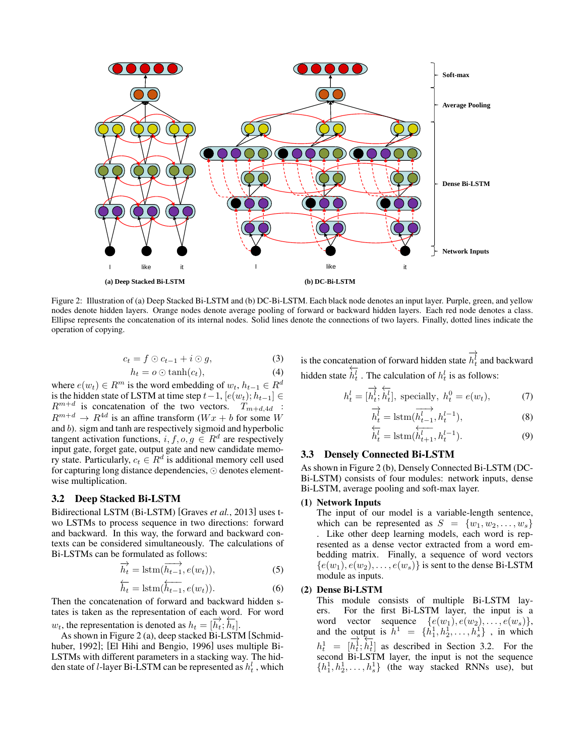

Figure 2: Illustration of (a) Deep Stacked Bi-LSTM and (b) DC-Bi-LSTM. Each black node denotes an input layer. Purple, green, and yellow nodes denote hidden layers. Orange nodes denote average pooling of forward or backward hidden layers. Each red node denotes a class. Ellipse represents the concatenation of its internal nodes. Solid lines denote the connections of two layers. Finally, dotted lines indicate the operation of copying.

$$
c_t = f \odot c_{t-1} + i \odot g,\tag{3}
$$

$$
h_t = o \odot \tanh(c_t), \tag{4}
$$

where  $e(w_t) \in R^m$  is the word embedding of  $w_t$ ,  $h_{t-1} \in R^d$ is the hidden state of LSTM at time step  $t-1$ ,  $[e(w_t); h_{t-1}] \in R^{m+d}$  is concatenation of the two vectors.  $T_{m+d,4d}$  :  $R^{m+d} \to R^{4d}$  is an affine transform  $(Wx + b)$  for some W and b). sigm and tanh are respectively sigmoid and hyperbolic tangent activation functions,  $i, f, o, g \in \mathbb{R}^d$  are respectively input gate, forget gate, output gate and new candidate memory state. Particularly,  $c_t \in \mathbb{R}^d$  is additional memory cell used for capturing long distance dependencies,  $\odot$  denotes elementwise multiplication.

#### 3.2 Deep Stacked Bi-LSTM

Bidirectional LSTM (Bi-LSTM) [Graves *et al.*, 2013] uses two LSTMs to process sequence in two directions: forward and backward. In this way, the forward and backward contexts can be considered simultaneously. The calculations of Bi-LSTMs can be formulated as follows:

$$
\overrightarrow{h_t} = \text{lstm}(\overrightarrow{h_{t-1}}, e(w_t)),\tag{5}
$$

$$
\overleftarrow{h_t} = \text{lstm}(\overleftarrow{h_{t-1}}, e(w_t)).\tag{6}
$$

Then the concatenation of forward and backward hidden states is taken as the representation of each word. For word  $w_t$ , the representation is denoted as  $h_t = [\overrightarrow{h_t}; \overleftarrow{h_t}]$ .

As shown in Figure 2 (a), deep stacked Bi-LSTM [Schmidhuber, 1992]; [El Hihi and Bengio, 1996] uses multiple Bi-LSTMs with different parameters in a stacking way. The hidden state of *l*-layer Bi-LSTM can be represented as  $h_t^l$ , which

is the concatenation of forward hidden state  $\overrightarrow{h_t}$  and backward hidden state  $\overleftarrow{h_t^l}$ . The calculation of  $h_t^l$  is as follows:

$$
h_t^l = [\overrightarrow{h_t^l}; \overleftarrow{h_t^l}], \text{ specially}, h_t^0 = e(w_t), \tag{7}
$$

$$
\overrightarrow{h_t^l} = \text{lstm}(\overrightarrow{h_{t-1}^l}, \overrightarrow{h_t^{l-1}}), \tag{8}
$$

$$
\overleftarrow{h_t^l} = \text{lstm}(\overleftarrow{h_{t+1}^l}, h_t^{l-1}).\tag{9}
$$

# 3.3 Densely Connected Bi-LSTM

As shown in Figure 2 (b), Densely Connected Bi-LSTM (DC-Bi-LSTM) consists of four modules: network inputs, dense Bi-LSTM, average pooling and soft-max layer.

#### (1) Network Inputs

The input of our model is a variable-length sentence, which can be represented as  $S = \{w_1, w_2, \ldots, w_s\}$ . Like other deep learning models, each word is represented as a dense vector extracted from a word embedding matrix. Finally, a sequence of word vectors  $\{e(w_1), e(w_2), \ldots, e(w_s)\}\$ is sent to the dense Bi-LSTM module as inputs.

#### (2) Dense Bi-LSTM

This module consists of multiple Bi-LSTM layers. For the first Bi-LSTM layer, the input is a word vector sequence  $\{e(w_1), e(w_2), \ldots, e(w_s)\}$ ,<br>and the output is  $h^1 = \{h_1^1, h_2^1, \ldots, h_s^1\}$ , in which  $h_t^1 = [\overrightarrow{h_t^1}; \overleftarrow{h_t^1}]$  as described in Section 3.2. For the second Bi-LSTM layer, the input is not the sequence  $\{h_1^1, h_2^1, \ldots, h_s^1\}$  (the way stacked RNNs use), but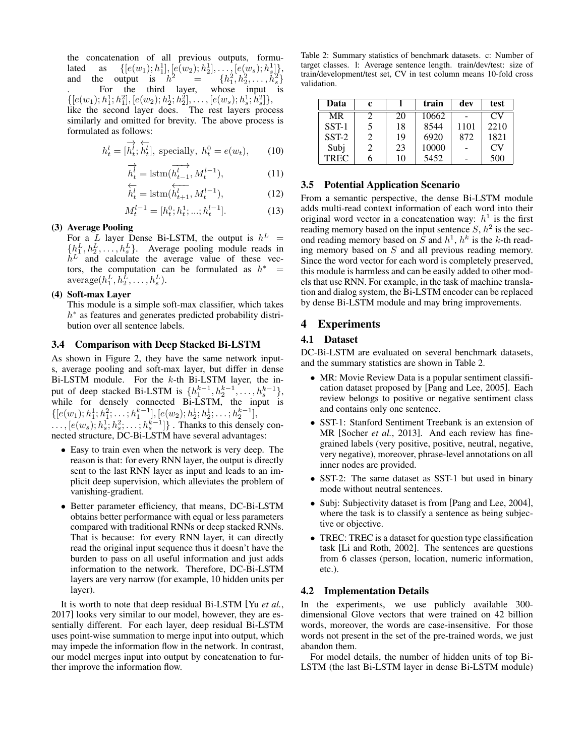the concatenation of all previous outputs, formulated as  $\{ [e(w_1); h_1^1], [e(w_2); h_2^1], \dots, [e(w_s); h_s^1] \}$ ,<br>and the output is  $h^2 = \{ h_1^2, h_2^2, \dots, h_s^2 \}$ For the third layer, whose input is  $\{ [e(w_1); h_1^1; h_1^2], [e(w_2); h_2^1; h_2^2], \ldots, [e(w_s); h_s^1; h_s^2] \},\$ like the second layer does. The rest layers process similarly and omitted for brevity. The above process is formulated as follows:

$$
h_t^l = [\overrightarrow{h_t^l}; \overleftarrow{h_t^l}], \text{ specially, } h_t^0 = e(w_t), \qquad (10)
$$

$$
\overrightarrow{h_t^l} = \text{lstm}(\overrightarrow{h_{t-1}^l}, M_t^{l-1}),\tag{11}
$$

$$
\overleftarrow{h_t^l} = \text{lstm}(\overleftarrow{h_{t+1}^l}, M_t^{l-1}),\tag{12}
$$

$$
M_t^{l-1} = [h_t^0; h_t^1; \dots; h_t^{l-1}]. \tag{13}
$$

#### (3) Average Pooling

For a L layer Dense Bi-LSTM, the output is  $h^L =$  $\{h_1^L, h_2^L, \ldots, h_s^L\}$ . Average pooling module reads in  $\tilde{h}^L$  and calculate the average value of these vectors, the computation can be formulated as  $h^*$  =  $\mathrm{average}(h_1^L, h_2^{\bar{L}}, \ldots, h_s^{\bar{L}}).$ 

# (4) Soft-max Layer

This module is a simple soft-max classifier, which takes h<sup>∗</sup> as features and generates predicted probability distribution over all sentence labels.

#### 3.4 Comparison with Deep Stacked Bi-LSTM

As shown in Figure 2, they have the same network inputs, average pooling and soft-max layer, but differ in dense Bi-LSTM module. For the  $k$ -th Bi-LSTM layer, the input of deep stacked Bi-LSTM is  $\{h_1^{k-1}, h_2^{k-1}, \ldots, h_s^{k-1}\}$ , while for densely connected Bi-LSTM, the input is { $[e(w_1); h_1^1; h_1^2; \ldots; h_1^{k-1}], [e(w_2); h_2^1; h_2^1; \ldots; h_2^{k-1}],$  $\ldots$ ,  $[e(w_s); h_s^1; h_s^2; \ldots; h_s^{k-1}]$  . Thanks to this densely con-

nected structure, DC-Bi-LSTM have several advantages:

- Easy to train even when the network is very deep. The reason is that: for every RNN layer, the output is directly sent to the last RNN layer as input and leads to an implicit deep supervision, which alleviates the problem of vanishing-gradient.
- Better parameter efficiency, that means, DC-Bi-LSTM obtains better performance with equal or less parameters compared with traditional RNNs or deep stacked RNNs. That is because: for every RNN layer, it can directly read the original input sequence thus it doesn't have the burden to pass on all useful information and just adds information to the network. Therefore, DC-Bi-LSTM layers are very narrow (for example, 10 hidden units per layer).

It is worth to note that deep residual Bi-LSTM [Yu *et al.*, 2017] looks very similar to our model, however, they are essentially different. For each layer, deep residual Bi-LSTM uses point-wise summation to merge input into output, which may impede the information flow in the network. In contrast, our model merges input into output by concatenation to further improve the information flow.

Table 2: Summary statistics of benchmark datasets. c: Number of target classes. l: Average sentence length. train/dev/test: size of train/development/test set, CV in test column means 10-fold cross validation.

| Data        | c                           |    | train | dev  | test          |
|-------------|-----------------------------|----|-------|------|---------------|
| MR          |                             | 20 | 10662 |      | CV            |
| $SST-1$     | 5                           | 18 | 8544  | 1101 | 2210          |
| $SST-2$     | 2                           | 19 | 6920  | 872  | 1821          |
| Subj        | $\mathcal{D}_{\mathcal{A}}$ | 23 | 10000 |      | $\mathsf{CV}$ |
| <b>TREC</b> |                             | 10 | 5452  |      | 500           |

#### 3.5 Potential Application Scenario

From a semantic perspective, the dense Bi-LSTM module adds multi-read context information of each word into their original word vector in a concatenation way:  $h<sup>1</sup>$  is the first reading memory based on the input sentence  $S$ ,  $h^2$  is the second reading memory based on  $\tilde{S}$  and  $h^1$ ,  $h^k$  is the k-th reading memory based on S and all previous reading memory. Since the word vector for each word is completely preserved, this module is harmless and can be easily added to other models that use RNN. For example, in the task of machine translation and dialog system, the Bi-LSTM encoder can be replaced by dense Bi-LSTM module and may bring improvements.

# 4 Experiments

#### 4.1 Dataset

DC-Bi-LSTM are evaluated on several benchmark datasets, and the summary statistics are shown in Table 2.

- MR: Movie Review Data is a popular sentiment classification dataset proposed by [Pang and Lee, 2005]. Each review belongs to positive or negative sentiment class and contains only one sentence.
- SST-1: Stanford Sentiment Treebank is an extension of MR [Socher *et al.*, 2013]. And each review has finegrained labels (very positive, positive, neutral, negative, very negative), moreover, phrase-level annotations on all inner nodes are provided.
- SST-2: The same dataset as SST-1 but used in binary mode without neutral sentences.
- Subj: Subjectivity dataset is from [Pang and Lee, 2004], where the task is to classify a sentence as being subjective or objective.
- TREC: TREC is a dataset for question type classification task [Li and Roth, 2002]. The sentences are questions from 6 classes (person, location, numeric information, etc.).

#### 4.2 Implementation Details

In the experiments, we use publicly available 300 dimensional Glove vectors that were trained on 42 billion words, moreover, the words are case-insensitive. For those words not present in the set of the pre-trained words, we just abandon them.

For model details, the number of hidden units of top Bi-LSTM (the last Bi-LSTM layer in dense Bi-LSTM module)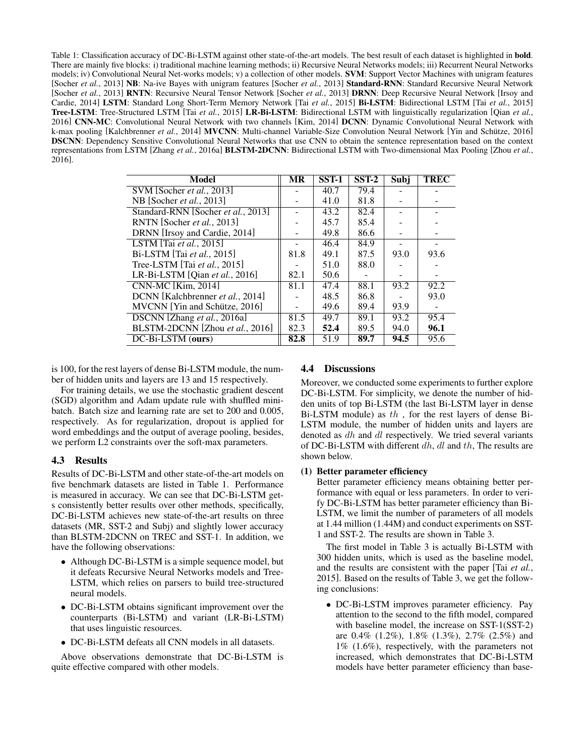Table 1: Classification accuracy of DC-Bi-LSTM against other state-of-the-art models. The best result of each dataset is highlighted in bold. There are mainly five blocks: i) traditional machine learning methods; ii) Recursive Neural Networks models; iii) Recurrent Neural Networks models; iv) Convolutional Neural Net-works models; v) a collection of other models. SVM: Support Vector Machines with unigram features [Socher *et al.*, 2013] NB: Na-ive Bayes with unigram features [Socher *et al.*, 2013] Standard-RNN: Standard Recursive Neural Network [Socher *et al.*, 2013] RNTN: Recursive Neural Tensor Network [Socher *et al.*, 2013] DRNN: Deep Recursive Neural Network [Irsoy and Cardie, 2014] LSTM: Standard Long Short-Term Memory Network [Tai *et al.*, 2015] Bi-LSTM: Bidirectional LSTM [Tai *et al.*, 2015] Tree-LSTM: Tree-Structured LSTM [Tai *et al.*, 2015] LR-Bi-LSTM: Bidirectional LSTM with linguistically regularization [Qian *et al.*, 2016] CNN-MC: Convolutional Neural Network with two channels [Kim, 2014] DCNN: Dynamic Convolutional Neural Network with k-max pooling [Kalchbrenner et al., 2014] MVCNN: Multi-channel Variable-Size Convolution Neural Network [Yin and Schütze, 2016] DSCNN: Dependency Sensitive Convolutional Neural Networks that use CNN to obtain the sentence representation based on the context representations from LSTM [Zhang *et al.*, 2016a] BLSTM-2DCNN: Bidirectional LSTM with Two-dimensional Max Pooling [Zhou *et al.*, 2016].

| Model                                   | МR   | $SST-1$ | $SST-2$ | Subj | TREC |
|-----------------------------------------|------|---------|---------|------|------|
| SVM [Socher et al., 2013]               |      | 40.7    | 79.4    |      |      |
| NB [Socher <i>et al.</i> , 2013]        |      | 41.0    | 81.8    |      |      |
| Standard-RNN [Socher et al., 2013]      |      | 43.2    | 82.4    |      |      |
| RNTN [Socher et al., 2013]              |      | 45.7    | 85.4    |      |      |
| DRNN [Irsoy and Cardie, 2014]           |      | 49.8    | 86.6    |      |      |
| LSTM $\lceil$ Tai et al., 2015 $\rceil$ |      | 46.4    | 84.9    |      |      |
| Bi-LSTM [Tai et al., 2015]              | 81.8 | 49.1    | 87.5    | 93.0 | 93.6 |
| Tree-LSTM [Tai et al., 2015]            |      | 51.0    | 88.0    |      |      |
| LR-Bi-LSTM [Qian et al., 2016]          | 82.1 | 50.6    |         |      |      |
| <b>CNN-MC</b> [Kim, 2014]               | 81.1 | 47.4    | 88.1    | 93.2 | 92.2 |
| DCNN [Kalchbrenner et al., 2014]        |      | 48.5    | 86.8    |      | 93.0 |
| MVCNN [Yin and Schütze, 2016]           |      | 49.6    | 89.4    | 93.9 |      |
| DSCNN [Zhang et al., 2016a]             | 81.5 | 49.7    | 89.1    | 93.2 | 95.4 |
| BLSTM-2DCNN [Zhou et al., 2016]         | 82.3 | 52.4    | 89.5    | 94.0 | 96.1 |
| DC-Bi-LSTM (ours)                       | 82.8 | 51.9    | 89.7    | 94.5 | 95.6 |

is 100, for the rest layers of dense Bi-LSTM module, the number of hidden units and layers are 13 and 15 respectively.

For training details, we use the stochastic gradient descent (SGD) algorithm and Adam update rule with shuffled minibatch. Batch size and learning rate are set to 200 and 0.005, respectively. As for regularization, dropout is applied for word embeddings and the output of average pooling, besides, we perform L2 constraints over the soft-max parameters.

## 4.3 Results

Results of DC-Bi-LSTM and other state-of-the-art models on five benchmark datasets are listed in Table 1. Performance is measured in accuracy. We can see that DC-Bi-LSTM gets consistently better results over other methods, specifically, DC-Bi-LSTM achieves new state-of-the-art results on three datasets (MR, SST-2 and Subj) and slightly lower accuracy than BLSTM-2DCNN on TREC and SST-1. In addition, we have the following observations:

- Although DC-Bi-LSTM is a simple sequence model, but it defeats Recursive Neural Networks models and Tree-LSTM, which relies on parsers to build tree-structured neural models.
- DC-Bi-LSTM obtains significant improvement over the counterparts (Bi-LSTM) and variant (LR-Bi-LSTM) that uses linguistic resources.
- DC-Bi-LSTM defeats all CNN models in all datasets.

Above observations demonstrate that DC-Bi-LSTM is quite effective compared with other models.

## 4.4 Discussions

Moreover, we conducted some experiments to further explore DC-Bi-LSTM. For simplicity, we denote the number of hidden units of top Bi-LSTM (the last Bi-LSTM layer in dense Bi-LSTM module) as th , for the rest layers of dense Bi-LSTM module, the number of hidden units and layers are denoted as dh and dl respectively. We tried several variants of DC-Bi-LSTM with different dh, dl and th, The results are shown below.

#### (1) Better parameter efficiency

Better parameter efficiency means obtaining better performance with equal or less parameters. In order to verify DC-Bi-LSTM has better parameter efficiency than Bi-LSTM, we limit the number of parameters of all models at 1.44 million (1.44M) and conduct experiments on SST-1 and SST-2. The results are shown in Table 3.

The first model in Table 3 is actually Bi-LSTM with 300 hidden units, which is used as the baseline model, and the results are consistent with the paper [Tai *et al.*, 2015]. Based on the results of Table 3, we get the following conclusions:

• DC-Bi-LSTM improves parameter efficiency. Pay attention to the second to the fifth model, compared with baseline model, the increase on SST-1(SST-2) are 0.4% (1.2%), 1.8% (1.3%), 2.7% (2.5%) and 1% (1.6%), respectively, with the parameters not increased, which demonstrates that DC-Bi-LSTM models have better parameter efficiency than base-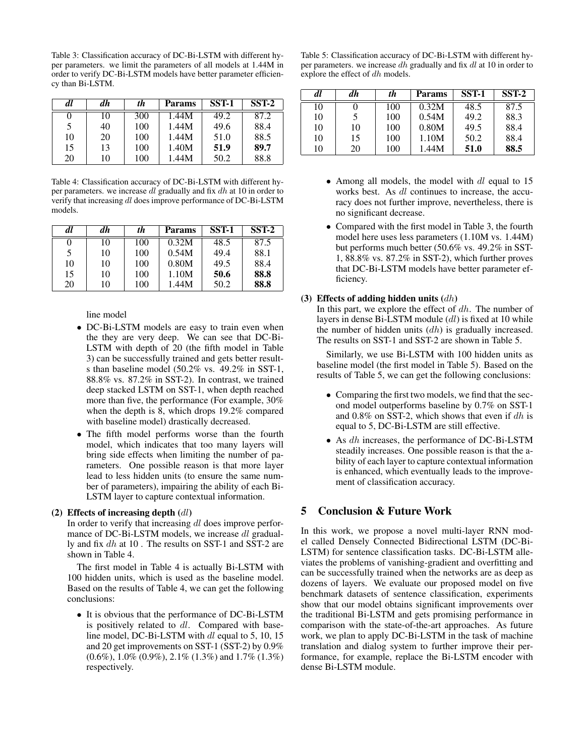Table 3: Classification accuracy of DC-Bi-LSTM with different hyper parameters. we limit the parameters of all models at 1.44M in order to verify DC-Bi-LSTM models have better parameter efficiency than Bi-LSTM.

| dl | dh | th  | <b>Params</b> | SST-1 | SST-2 |
|----|----|-----|---------------|-------|-------|
| O  | 10 | 300 | 1.44M         | 49.2  | 87.2  |
| 5  | 40 | 100 | 1.44M         | 49.6  | 88.4  |
| 10 | 20 | 100 | 1.44M         | 51.0  | 88.5  |
| 15 | 13 | 100 | 1.40M         | 51.9  | 89.7  |
| 20 | 10 | 100 | 1.44M         | 50.2  | 88.8  |

Table 4: Classification accuracy of DC-Bi-LSTM with different hyper parameters. we increase dl gradually and fix  $dh$  at 10 in order to verify that increasing dl does improve performance of DC-Bi-LSTM models.

| dl | dh | th  | <b>Params</b> | SST-1 | SST-2 |
|----|----|-----|---------------|-------|-------|
| 0  | 10 | 100 | 0.32M         | 48.5  | 87.5  |
| 5  | 10 | 100 | 0.54M         | 49.4  | 88.1  |
| 10 | 10 | 100 | 0.80M         | 49.5  | 88.4  |
| 15 | 10 | 100 | 1.10M         | 50.6  | 88.8  |
| 20 | 10 | 100 | 1.44M         | 50.2  | 88.8  |

line model

- DC-Bi-LSTM models are easy to train even when the they are very deep. We can see that DC-Bi-LSTM with depth of 20 (the fifth model in Table 3) can be successfully trained and gets better results than baseline model (50.2% vs. 49.2% in SST-1, 88.8% vs. 87.2% in SST-2). In contrast, we trained deep stacked LSTM on SST-1, when depth reached more than five, the performance (For example, 30% when the depth is 8, which drops 19.2% compared with baseline model) drastically decreased.
- The fifth model performs worse than the fourth model, which indicates that too many layers will bring side effects when limiting the number of parameters. One possible reason is that more layer lead to less hidden units (to ensure the same number of parameters), impairing the ability of each Bi-LSTM layer to capture contextual information.

## (2) Effects of increasing depth  $(d)$

In order to verify that increasing dl does improve performance of DC-Bi-LSTM models, we increase dl gradually and fix dh at 10 . The results on SST-1 and SST-2 are shown in Table 4.

The first model in Table 4 is actually Bi-LSTM with 100 hidden units, which is used as the baseline model. Based on the results of Table 4, we can get the following conclusions:

• It is obvious that the performance of DC-Bi-LSTM is positively related to dl. Compared with baseline model, DC-Bi-LSTM with dl equal to 5, 10, 15 and 20 get improvements on SST-1 (SST-2) by 0.9% (0.6%), 1.0% (0.9%), 2.1% (1.3%) and 1.7% (1.3%) respectively.

Table 5: Classification accuracy of DC-Bi-LSTM with different hyper parameters. we increase  $dh$  gradually and fix  $dl$  at 10 in order to explore the effect of  $dh$  models.

| dl | dh | th  | <b>Params</b> | SST-1 | SST-2 |
|----|----|-----|---------------|-------|-------|
| 10 |    | 100 | 0.32M         | 48.5  | 87.5  |
| 10 |    | 100 | 0.54M         | 49.2  | 88.3  |
| 10 | 10 | 100 | 0.80M         | 49.5  | 88.4  |
| 10 | 15 | 100 | 1.10M         | 50.2  | 88.4  |
| 10 | 20 | 100 | 1.44M         | 51.0  | 88.5  |

- Among all models, the model with  $dl$  equal to 15 works best. As dl continues to increase, the accuracy does not further improve, nevertheless, there is no significant decrease.
- Compared with the first model in Table 3, the fourth model here uses less parameters (1.10M vs. 1.44M) but performs much better (50.6% vs. 49.2% in SST-1, 88.8% vs. 87.2% in SST-2), which further proves that DC-Bi-LSTM models have better parameter efficiency.

# (3) Effects of adding hidden units  $(dh)$

In this part, we explore the effect of  $dh$ . The number of layers in dense Bi-LSTM module (dl) is fixed at 10 while the number of hidden units  $(dh)$  is gradually increased. The results on SST-1 and SST-2 are shown in Table 5.

Similarly, we use Bi-LSTM with 100 hidden units as baseline model (the first model in Table 5). Based on the results of Table 5, we can get the following conclusions:

- Comparing the first two models, we find that the second model outperforms baseline by 0.7% on SST-1 and 0.8% on SST-2, which shows that even if dh is equal to 5, DC-Bi-LSTM are still effective.
- As *dh* increases, the performance of DC-Bi-LSTM steadily increases. One possible reason is that the ability of each layer to capture contextual information is enhanced, which eventually leads to the improvement of classification accuracy.

# 5 Conclusion & Future Work

In this work, we propose a novel multi-layer RNN model called Densely Connected Bidirectional LSTM (DC-Bi-LSTM) for sentence classification tasks. DC-Bi-LSTM alleviates the problems of vanishing-gradient and overfitting and can be successfully trained when the networks are as deep as dozens of layers. We evaluate our proposed model on five benchmark datasets of sentence classification, experiments show that our model obtains significant improvements over the traditional Bi-LSTM and gets promising performance in comparison with the state-of-the-art approaches. As future work, we plan to apply DC-Bi-LSTM in the task of machine translation and dialog system to further improve their performance, for example, replace the Bi-LSTM encoder with dense Bi-LSTM module.